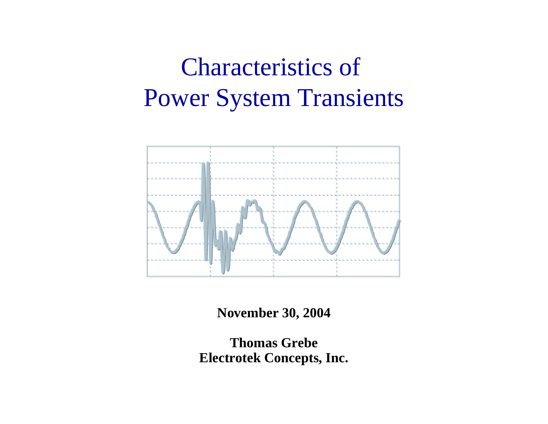# Characteristics of Power System Transients



**November 30, 2004**

**Thomas GrebeElectrotek Concepts, Inc.**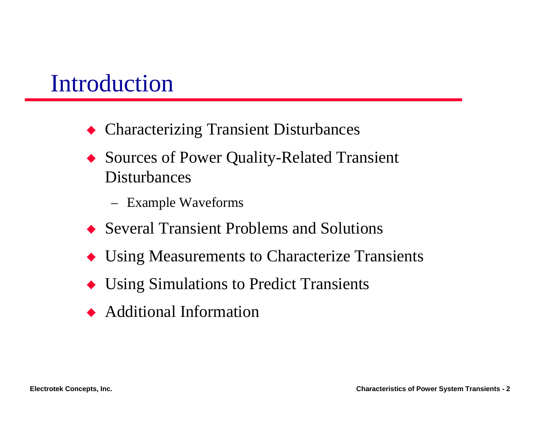#### Introduction

- ◆ Characterizing Transient Disturbances
- ◆ Sources of Power Quality-Related Transient Disturbances
	- –Example Waveforms
- $\bullet$  Several Transient Problems and Solutions
- $\blacklozenge$  Using Measurements to Characterize Transients
- $\blacklozenge$  Using Simulations to Predict Transients
- $\leftrightarrow$  Additional Information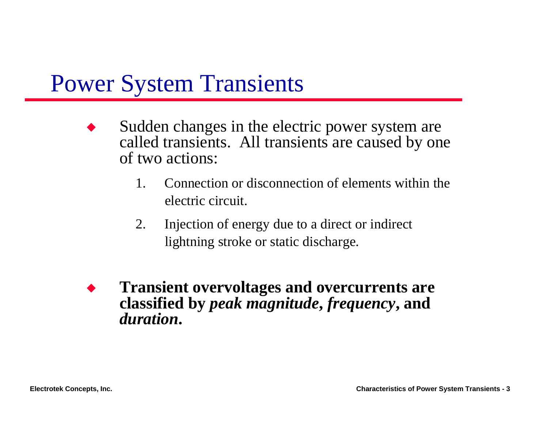### Power System Transients

- $\blacklozenge$  Sudden changes in the electric power system are called transients. All transients are caused by one of two actions:
	- 1. Connection or disconnection of elements within the electric circuit.
	- 2. Injection of energy due to a direct or indirect lightning stroke or static discharge.
- $\blacklozenge$  **Transient overvoltages and overcurrents are classified by** *peak magnitude***,** *frequency***, and**  *duration***.**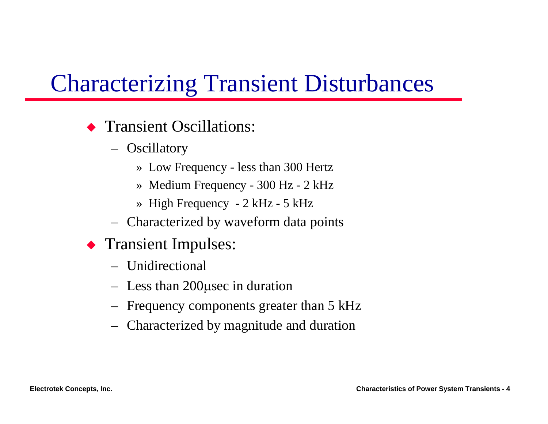### Characterizing Transient Disturbances

#### $\blacklozenge$  Transient Oscillations:

- –**Oscillatory** 
	- » Low Frequency less than 300 Hertz
	- » Medium Frequency 300 Hz 2 kHz
	- » High Frequency 2 kHz 5 kHz
- –Characterized by waveform data points
- **Transient Impulses:** 
	- Unidirectional
	- –Less than 200µsec in duration
	- –Frequency components greater than 5 kHz
	- –Characterized by magnitude and duration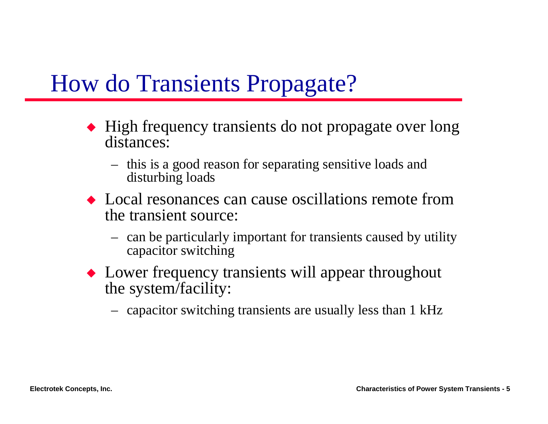### How do Transients Propagate?

- $\blacklozenge$  High frequency transients do not propagate over long distances:
	- – this is a good reason for separating sensitive loads and disturbing loads
- $\bullet$  Local resonances can cause oscillations remote from the transient source:
	- – can be particularly important for transients caused by utility capacitor switching
- $\blacklozenge$  Lower frequency transients will appear throughout the system/facility:
	- –capacitor switching transients are usually less than 1 kHz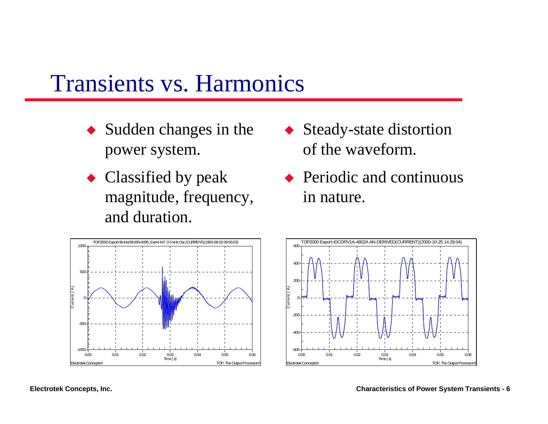#### Transients vs. Harmonics

- $\blacklozenge$  Sudden changes in the power system.
- $\bullet$  Classified by peak magnitude, frequency, and duration.
- $\blacklozenge$  Steady-state distortion of the waveform.
- $\rightarrow$  Periodic and continuous in nature.



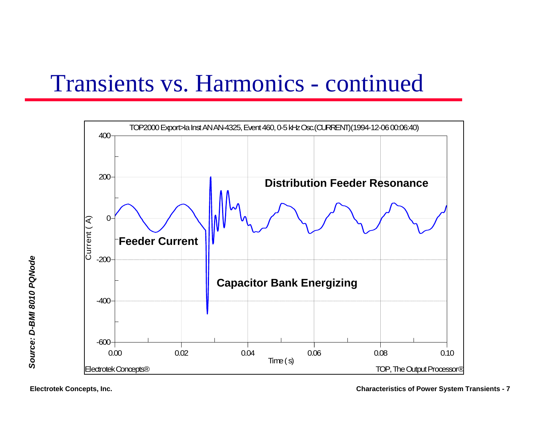### Transients vs. Harmonics - continued

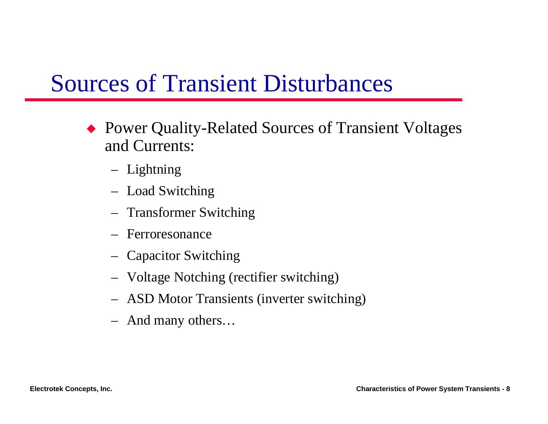### Sources of Transient Disturbances

- ◆ Power Quality-Related Sources of Transient Voltages and Currents:
	- –Lightning
	- –Load Switching
	- –Transformer Switching
	- Ferroresonance
	- –Capacitor Switching
	- –Voltage Notching (rectifier switching)
	- –ASD Motor Transients (inverter switching)
	- –And many others…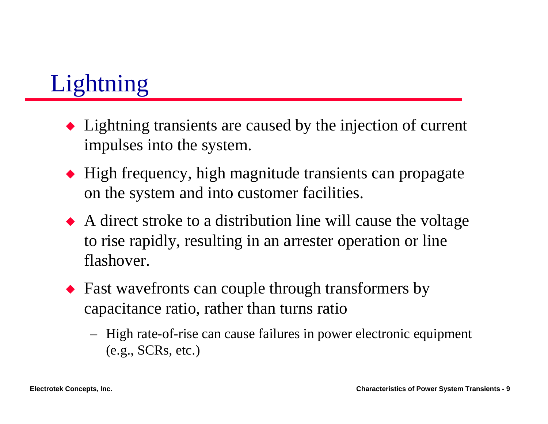# Lightning

- $\blacklozenge$  Lightning transients are caused by the injection of current impulses into the system.
- $\blacklozenge$  High frequency, high magnitude transients can propagate on the system and into customer facilities.
- $\blacklozenge$  A direct stroke to a distribution line will cause the voltage to rise rapidly, resulting in an arrester operation or line flashover.
- $\blacklozenge$  Fast wavefronts can couple through transformers by capacitance ratio, rather than turns ratio
	- – High rate-of-rise can cause failures in power electronic equipment (e.g., SCRs, etc.)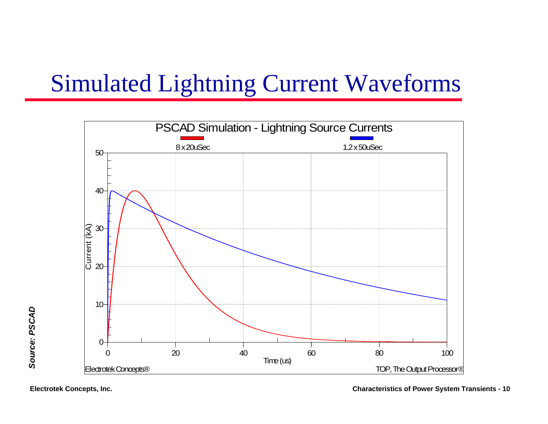# Simulated Lightning Current Waveforms

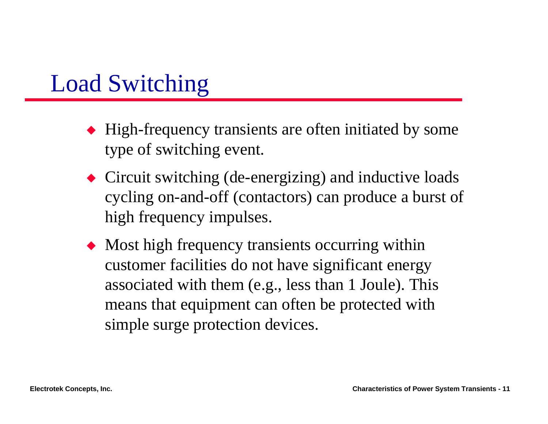### Load Switching

- $\blacklozenge$  High-frequency transients are often initiated by some type of switching event.
- $\blacklozenge$  Circuit switching (de-energizing) and inductive loads cycling on-and-off (contactors) can produce a burst of high frequency impulses.
- $\blacklozenge$  Most high frequency transients occurring within customer facilities do not have significant energy associated with them (e.g., less than 1 Joule). This means that equipment can often be protected with simple surge protection devices.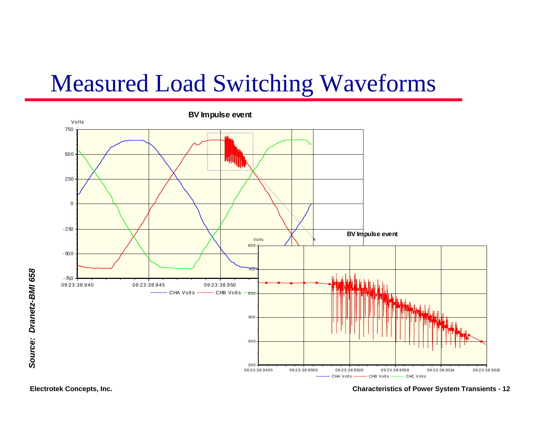### Measured Load Switching Waveforms

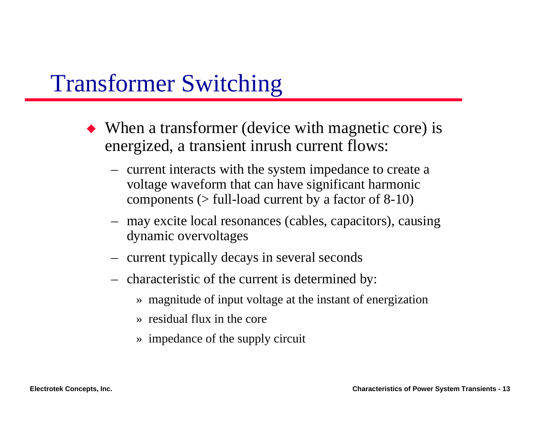#### Transformer Switching

- $\blacklozenge$  When a transformer (device with magnetic core) is energized, a transient inrush current flows:
	- – current interacts with the system impedance to create a voltage waveform that can have significant harmonic components  $($  > full-load current by a factor of 8-10)
	- – may excite local resonances (cables, capacitors), causing dynamic overvoltages
	- –current typically decays in several seconds
	- – characteristic of the current is determined by:
		- » magnitude of input voltage at the instant of energization
		- » residual flux in the core
		- » impedance of the supply circuit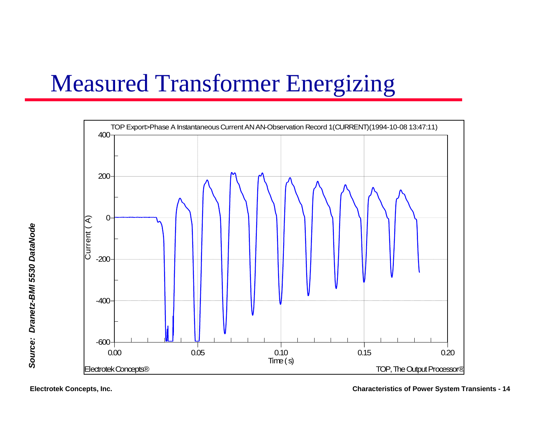# Measured Transformer Energizing

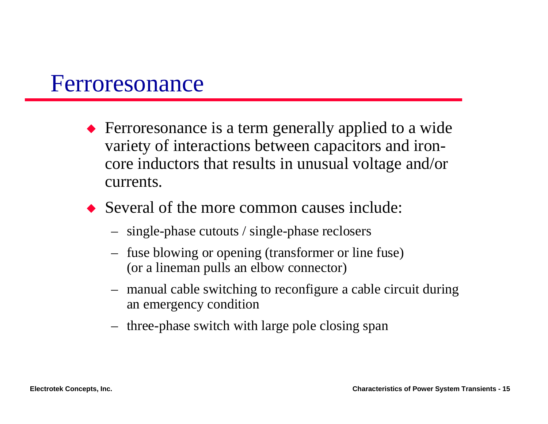#### Ferroresonance

- $\blacklozenge$  Ferroresonance is a term generally applied to a wide variety of interactions between capacitors and ironcore inductors that results in unusual voltage and/or currents.
- $\bullet$  Several of the more common causes include:
	- –single-phase cutouts / single-phase reclosers
	- – fuse blowing or opening (transformer or line fuse) (or a lineman pulls an elbow connector)
	- – manual cable switching to reconfigure a cable circuit during an emergency condition
	- –three-phase switch with large pole closing span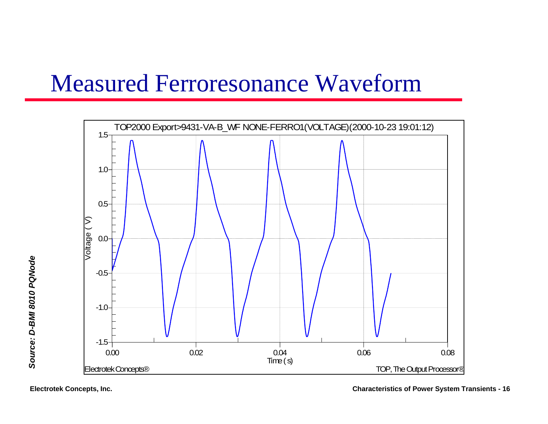### Measured Ferroresonance Waveform

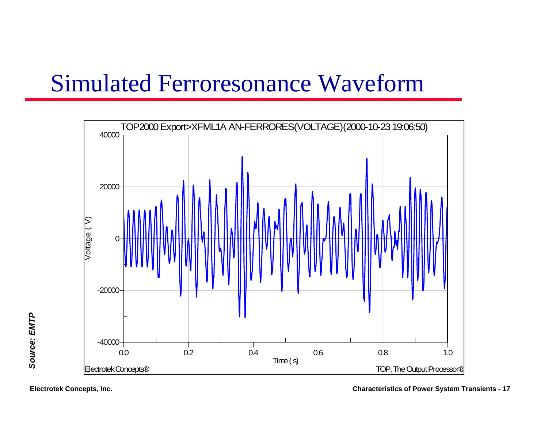### Simulated Ferroresonance Waveform

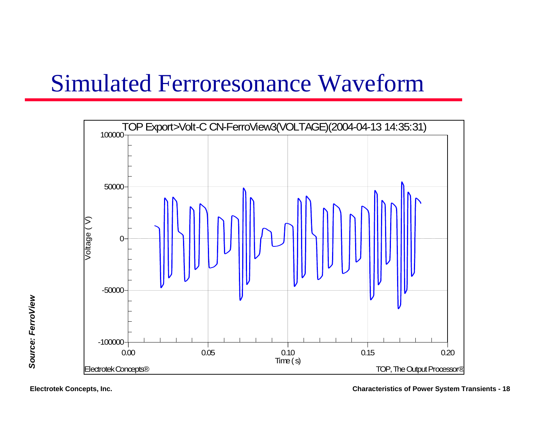### Simulated Ferroresonance Waveform

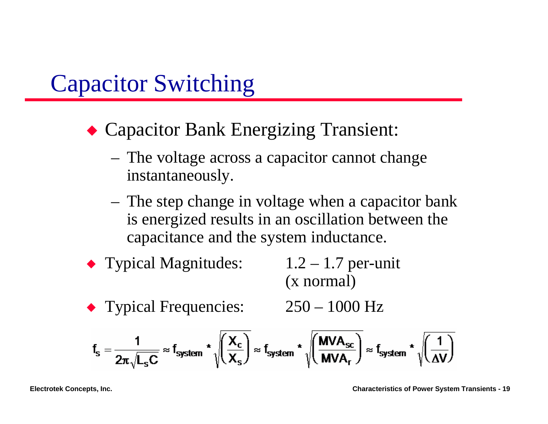### Capacitor Switching

- ◆ Capacitor Bank Energizing Transient:
	- The voltage across a capacitor cannot change instantaneously.
	- The step change in voltage when a capacitor bank is energized results in an oscillation between the capacitance and the system inductance.
- $\blacklozenge$  Typical Magnitudes:  $1.2 1.7$  per-unit (x normal)
- $\blacktriangleright$  Typical Frequencies:  $250 1000$  Hz

$$
f_s = \frac{1}{2\pi \sqrt{L_s C}} \approx f_{system} \star \sqrt{\left(\frac{X_c}{X_s}\right)} \approx f_{system} \star \sqrt{\left(\frac{MVA_{sc}}{MVA_r}\right)} \approx f_{system} \star \sqrt{\left(\frac{1}{\Delta V}\right)}
$$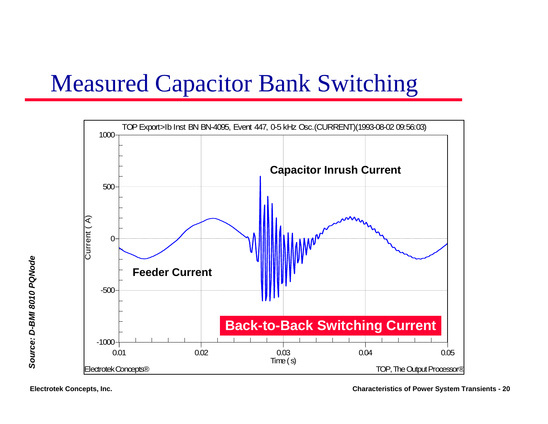### Measured Capacitor Bank Switching

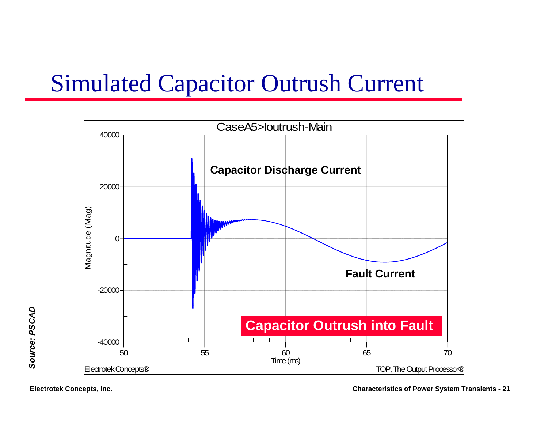### Simulated Capacitor Outrush Current

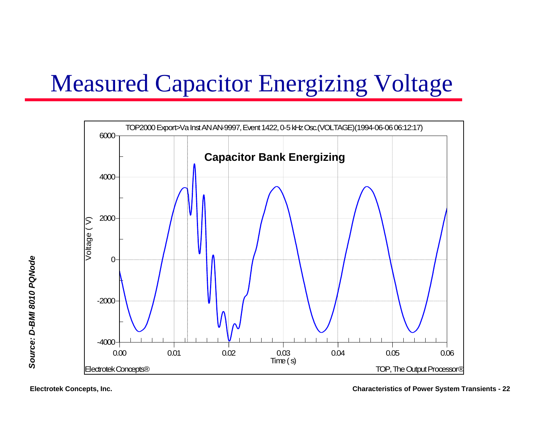# Measured Capacitor Energizing Voltage



Source: D-BMI 8010 PQNode *Source: D-BMI 8010 PQNode*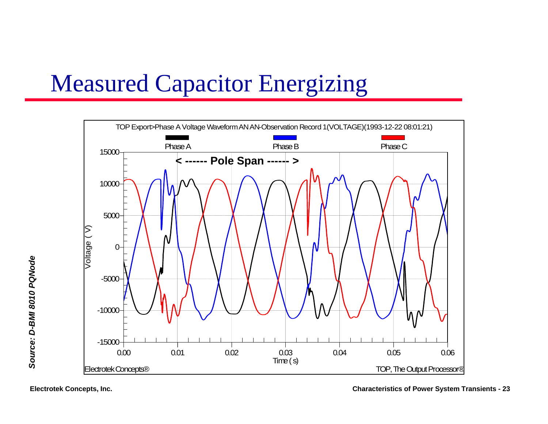# Measured Capacitor Energizing

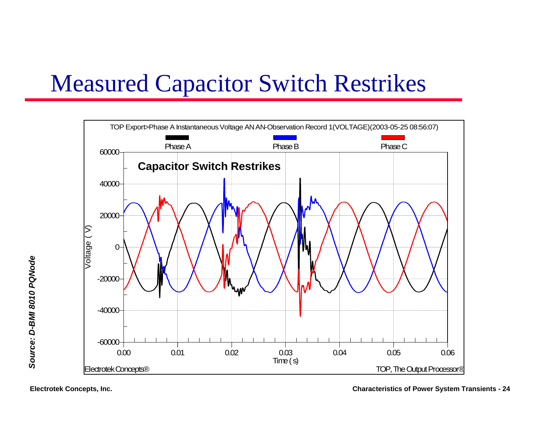### Measured Capacitor Switch Restrikes

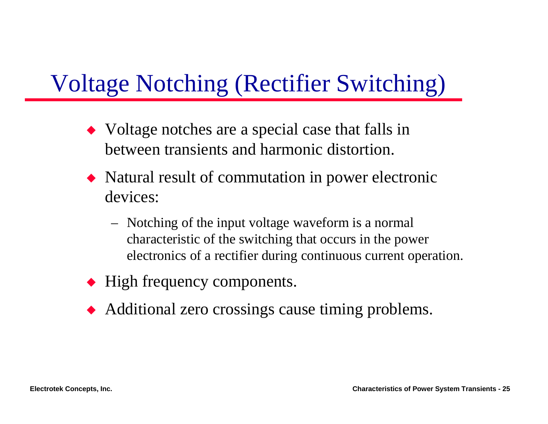# Voltage Notching (Rectifier Switching)

- $\blacklozenge$  Voltage notches are a special case that falls in between transients and harmonic distortion.
- $\blacklozenge$  Natural result of commutation in power electronic devices:
	- – Notching of the input voltage waveform is a normal characteristic of the switching that occurs in the power electronics of a rectifier during continuous current operation.
- $\blacklozenge$  High frequency components.
- $\blacklozenge$  Additional zero crossings cause timing problems.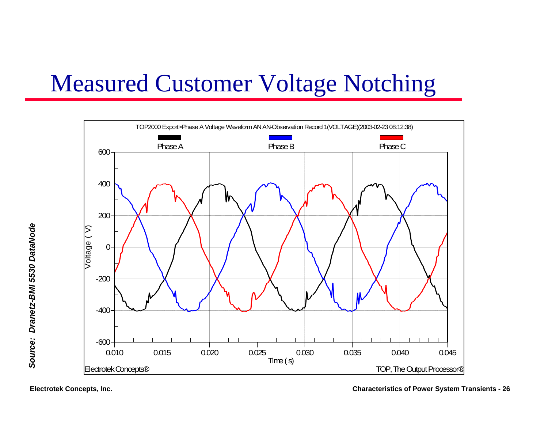# Measured Customer Voltage Notching

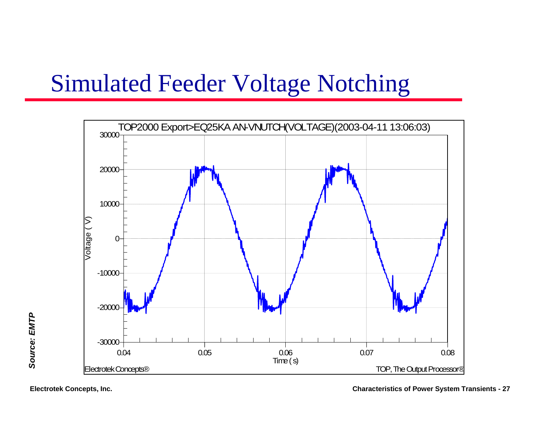### Simulated Feeder Voltage Notching

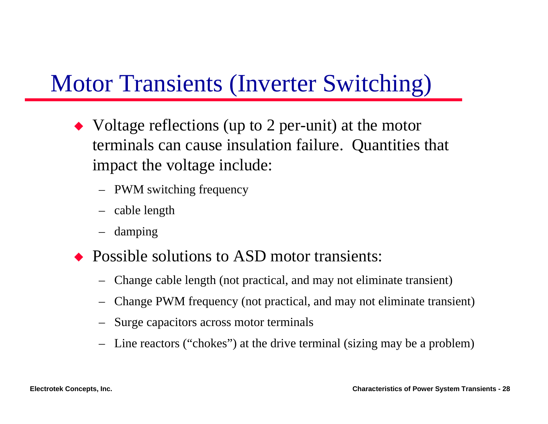### Motor Transients (Inverter Switching)

- $\blacklozenge$  Voltage reflections (up to 2 per-unit) at the motor terminals can cause insulation failure. Quantities that impact the voltage include:
	- PWM switching frequency
	- cable length
	- damping
- $\rightarrow$  Possible solutions to ASD motor transients:
	- –Change cable length (not practical, and may not eliminate transient)
	- Change PWM frequency (not practical, and may not eliminate transient)
	- –Surge capacitors across motor terminals
	- Line reactors ("chokes") at the drive terminal (sizing may be a problem)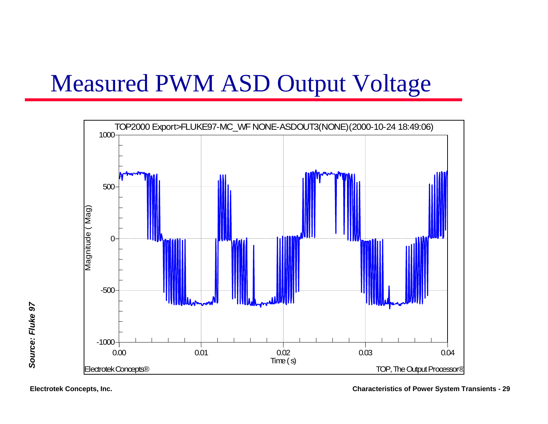### Measured PWM ASD Output Voltage

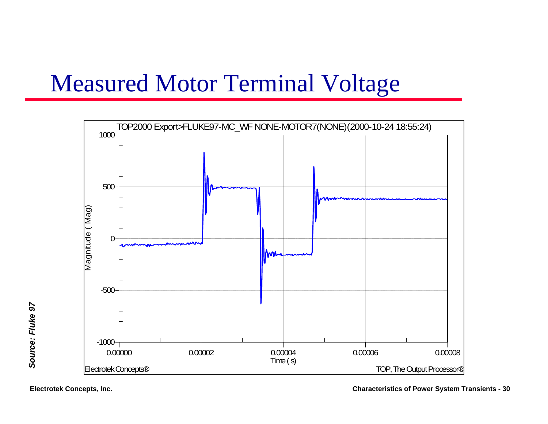### Measured Motor Terminal Voltage

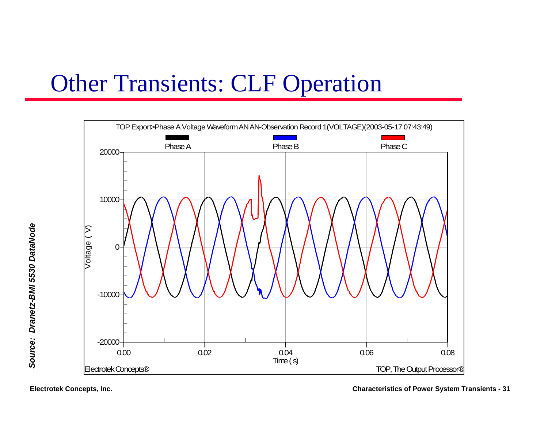### Other Transients: CLF Operation

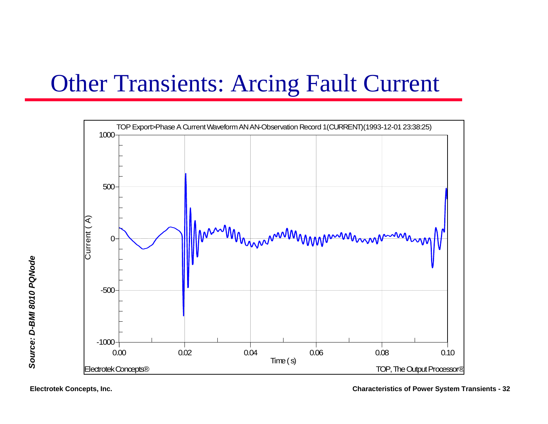# Other Transients: Arcing Fault Current

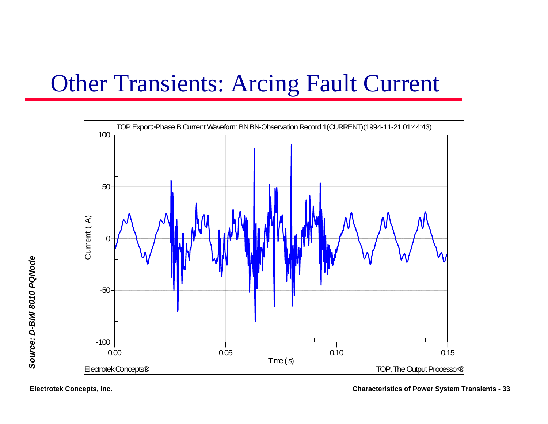# Other Transients: Arcing Fault Current

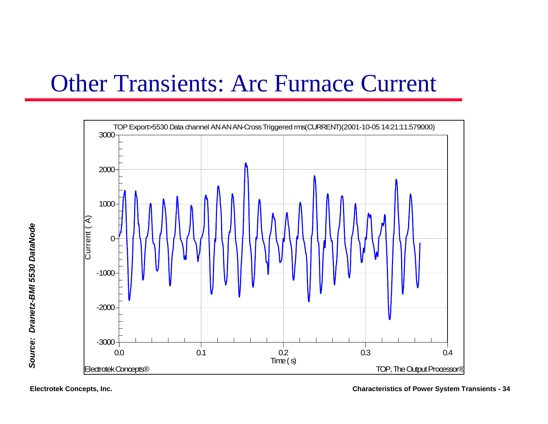### Other Transients: Arc Furnace Current



**Electrotek Concepts, Inc. Characteristics of Power System Transients - 34**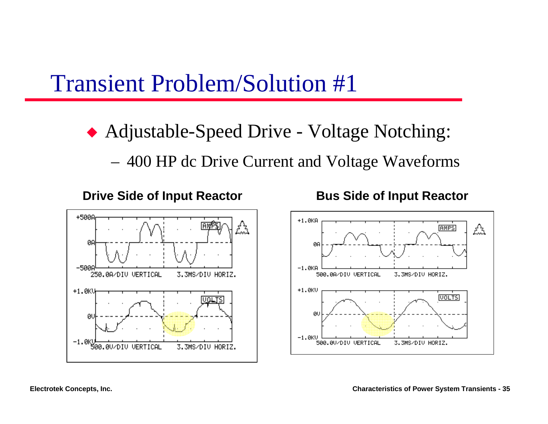#### Transient Problem/Solution #1

◆ Adjustable-Speed Drive - Voltage Notching: 400 HP dc Drive Current and Voltage Waveforms





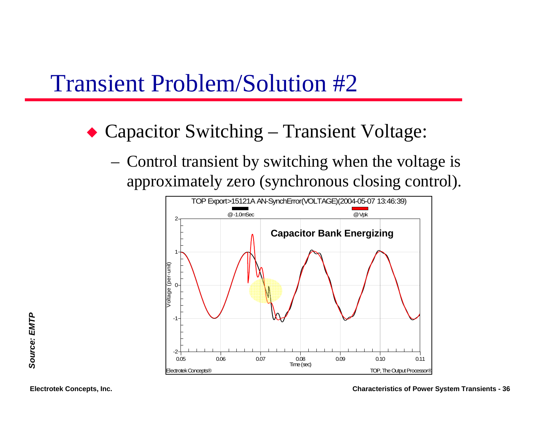#### Transient Problem/Solution #2

- ◆ Capacitor Switching Transient Voltage:
	- Control transient by switching when the voltage is approximately zero (synchronous closing control).



**Electrotek Concepts, Inc. Characteristics of Power System Transients - 36**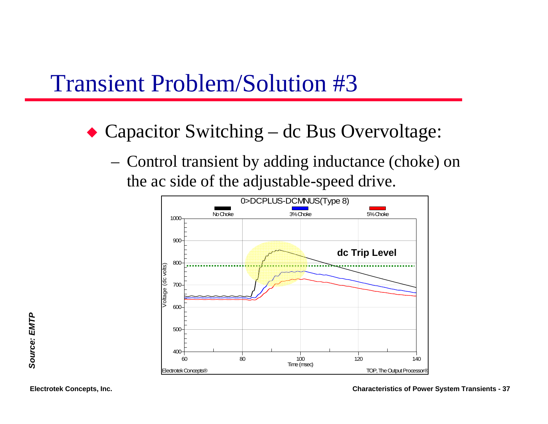#### Transient Problem/Solution #3

- ◆ Capacitor Switching dc Bus Overvoltage:
	- Control transient by adding inductance (choke) on the ac side of the adjustable-speed drive.

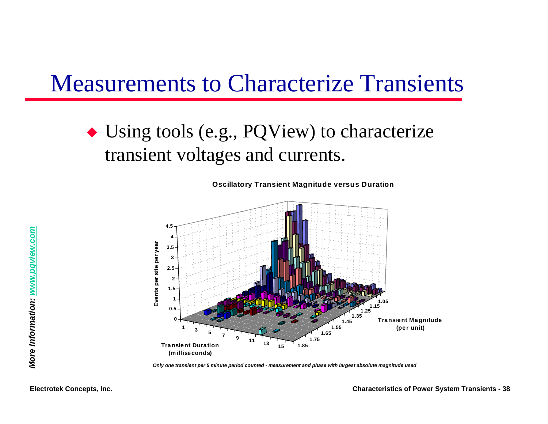#### Measurements to Characterize Transients

 $\bullet$  Using tools (e.g., PQView) to characterize transient voltages and currents.

**Oscillatory Transient Magnitude versus Duration**



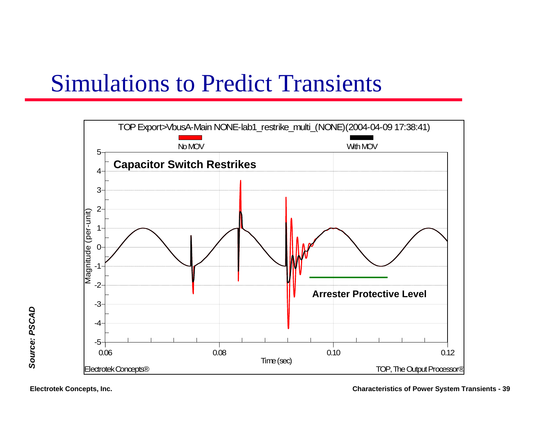### Simulations to Predict Transients



Source: PSCAD *Source: PSCAD*